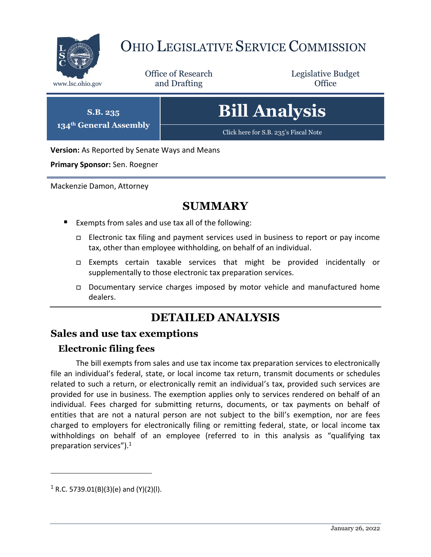

# OHIO LEGISLATIVE SERVICE COMMISSION

Office of Research www.lsc.ohio.gov **and Drafting Office** 

Legislative Budget

**S.B. 235 134th General Assembly** **Bill Analysis**

[Click here for S.B. 235](https://www.legislature.ohio.gov/legislation/legislation-documents?id=GA134-SB-235)'s Fiscal Note

**Version:** As Reported by Senate Ways and Means

**Primary Sponsor:** Sen. Roegner

Mackenzie Damon, Attorney

## **SUMMARY**

- Exempts from sales and use tax all of the following:
	- $\Box$  Electronic tax filing and payment services used in business to report or pay income tax, other than employee withholding, on behalf of an individual.
	- Exempts certain taxable services that might be provided incidentally or supplementally to those electronic tax preparation services.
	- Documentary service charges imposed by motor vehicle and manufactured home dealers.

## **DETAILED ANALYSIS**

#### **Sales and use tax exemptions**

#### **Electronic filing fees**

The bill exempts from sales and use tax income tax preparation services to electronically file an individual's federal, state, or local income tax return, transmit documents or schedules related to such a return, or electronically remit an individual's tax, provided such services are provided for use in business. The exemption applies only to services rendered on behalf of an individual. Fees charged for submitting returns, documents, or tax payments on behalf of entities that are not a natural person are not subject to the bill's exemption, nor are fees charged to employers for electronically filing or remitting federal, state, or local income tax withholdings on behalf of an employee (referred to in this analysis as "qualifying tax preparation services"). $1$ 

 $\overline{a}$ 

 $1$  R.C. 5739.01(B)(3)(e) and (Y)(2)(I).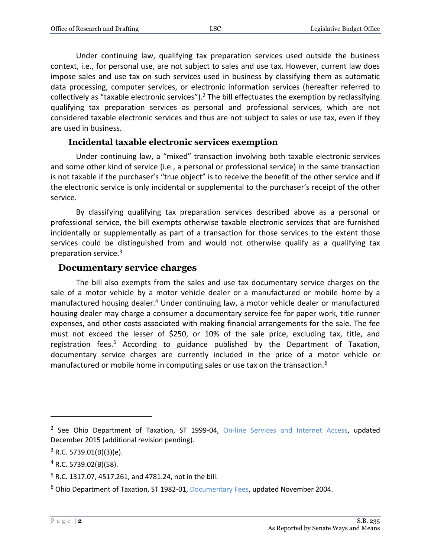Under continuing law, qualifying tax preparation services used outside the business context, i.e., for personal use, are not subject to sales and use tax. However, current law does impose sales and use tax on such services used in business by classifying them as automatic data processing, computer services, or electronic information services (hereafter referred to collectively as "taxable electronic services").<sup>2</sup> The bill effectuates the exemption by reclassifying qualifying tax preparation services as personal and professional services, which are not considered taxable electronic services and thus are not subject to sales or use tax, even if they are used in business.

#### **Incidental taxable electronic services exemption**

Under continuing law, a "mixed" transaction involving both taxable electronic services and some other kind of service (i.e., a personal or professional service) in the same transaction is not taxable if the purchaser's "true object" is to receive the benefit of the other service and if the electronic service is only incidental or supplemental to the purchaser's receipt of the other service.

By classifying qualifying tax preparation services described above as a personal or professional service, the bill exempts otherwise taxable electronic services that are furnished incidentally or supplementally as part of a transaction for those services to the extent those services could be distinguished from and would not otherwise qualify as a qualifying tax preparation service. 3

#### **Documentary service charges**

The bill also exempts from the sales and use tax documentary service charges on the sale of a motor vehicle by a motor vehicle dealer or a manufactured or mobile home by a manufactured housing dealer.<sup>4</sup> Under continuing law, a motor vehicle dealer or manufactured housing dealer may charge a consumer a documentary service fee for paper work, title runner expenses, and other costs associated with making financial arrangements for the sale. The fee must not exceed the lesser of \$250, or 10% of the sale price, excluding tax, title, and registration fees.<sup>5</sup> According to guidance published by the Department of Taxation, documentary service charges are currently included in the price of a motor vehicle or manufactured or mobile home in computing sales or use tax on the transaction.<sup>6</sup>

 $\overline{a}$ 

<sup>&</sup>lt;sup>2</sup> See Ohio Department of Taxation, ST 1999-04, [On-line Services and Internet Access,](http://www.tax.ohio.gov/sales_and_use/information_releases/index_sales.aspx) updated December 2015 (additional revision pending).

 $3$  R.C. 5739.01(B)(3)(e).

<sup>4</sup> R.C. 5739.02(B)(58).

<sup>5</sup> R.C. 1317.07, 4517.261, and 4781.24, not in the bill.

<sup>6</sup> Ohio Department of Taxation, ST 1982-01[, Documentary Fees,](https://tax.ohio.gov/wps/portal/gov/tax/business/ohio-business-taxes/sales-and-use/information-releases/st198201) updated November 2004.